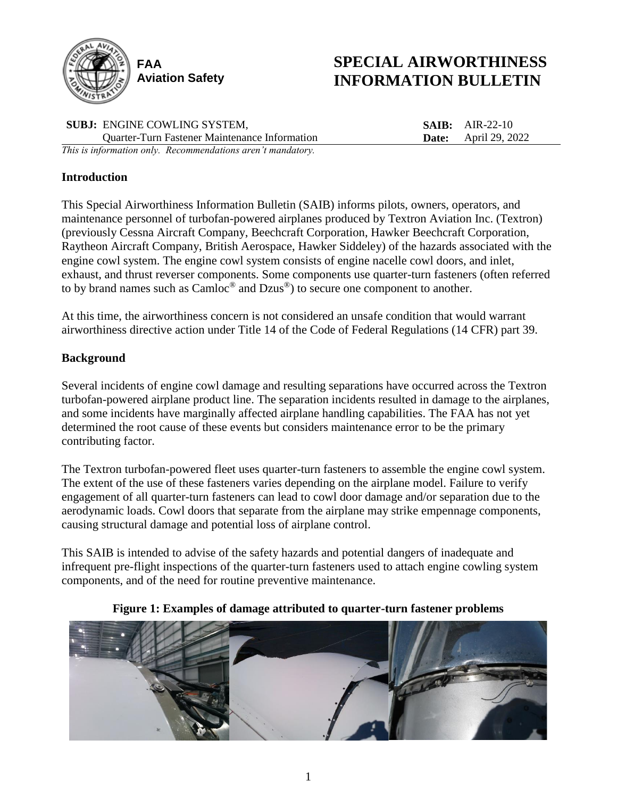

# **SPECIAL AIRWORTHINESS INFORMATION BULLETIN**

**SUBJ:** ENGINE COWLING SYSTEM, Quarter-Turn Fastener Maintenance Information **SAIB:** AIR-22-10 **Date:** April 29, 2022 *This is information only. Recommendations aren't mandatory.*

# **Introduction**

This Special Airworthiness Information Bulletin (SAIB) informs pilots, owners, operators, and maintenance personnel of turbofan-powered airplanes produced by Textron Aviation Inc. (Textron) (previously Cessna Aircraft Company, Beechcraft Corporation, Hawker Beechcraft Corporation, Raytheon Aircraft Company, British Aerospace, Hawker Siddeley) of the hazards associated with the engine cowl system. The engine cowl system consists of engine nacelle cowl doors, and inlet, exhaust, and thrust reverser components. Some components use quarter-turn fasteners (often referred to by brand names such as Camloc® and Dzus®) to secure one component to another.

At this time, the airworthiness concern is not considered an unsafe condition that would warrant airworthiness directive action under Title 14 of the Code of Federal Regulations (14 CFR) part 39.

# **Background**

Several incidents of engine cowl damage and resulting separations have occurred across the Textron turbofan-powered airplane product line. The separation incidents resulted in damage to the airplanes, and some incidents have marginally affected airplane handling capabilities. The FAA has not yet determined the root cause of these events but considers maintenance error to be the primary contributing factor.

The Textron turbofan-powered fleet uses quarter-turn fasteners to assemble the engine cowl system. The extent of the use of these fasteners varies depending on the airplane model. Failure to verify engagement of all quarter-turn fasteners can lead to cowl door damage and/or separation due to the aerodynamic loads. Cowl doors that separate from the airplane may strike empennage components, causing structural damage and potential loss of airplane control.

This SAIB is intended to advise of the safety hazards and potential dangers of inadequate and infrequent pre-flight inspections of the quarter-turn fasteners used to attach engine cowling system components, and of the need for routine preventive maintenance.

## **Figure 1: Examples of damage attributed to quarter-turn fastener problems**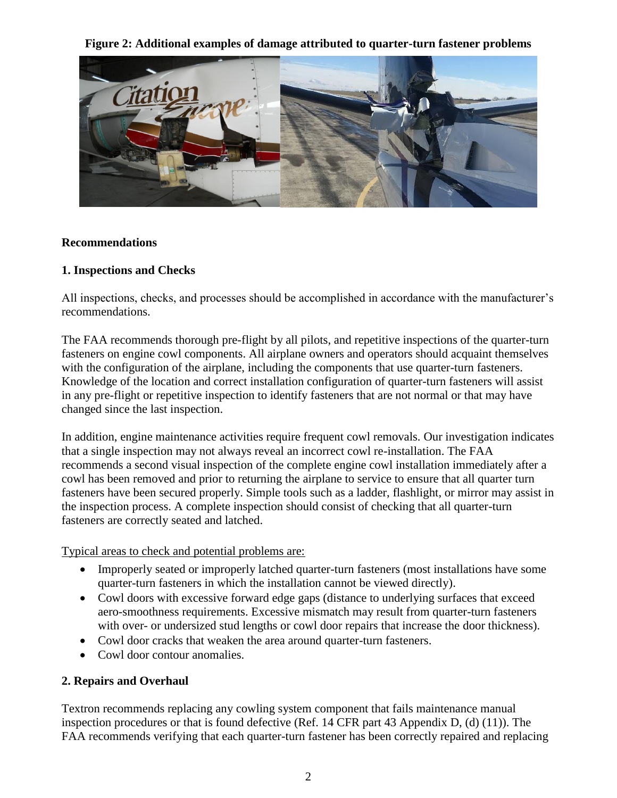**Figure 2: Additional examples of damage attributed to quarter-turn fastener problems**



## **Recommendations**

#### **1. Inspections and Checks**

All inspections, checks, and processes should be accomplished in accordance with the manufacturer's recommendations.

The FAA recommends thorough pre-flight by all pilots, and repetitive inspections of the quarter-turn fasteners on engine cowl components. All airplane owners and operators should acquaint themselves with the configuration of the airplane, including the components that use quarter-turn fasteners. Knowledge of the location and correct installation configuration of quarter-turn fasteners will assist in any pre-flight or repetitive inspection to identify fasteners that are not normal or that may have changed since the last inspection.

In addition, engine maintenance activities require frequent cowl removals. Our investigation indicates that a single inspection may not always reveal an incorrect cowl re-installation. The FAA recommends a second visual inspection of the complete engine cowl installation immediately after a cowl has been removed and prior to returning the airplane to service to ensure that all quarter turn fasteners have been secured properly. Simple tools such as a ladder, flashlight, or mirror may assist in the inspection process. A complete inspection should consist of checking that all quarter-turn fasteners are correctly seated and latched.

Typical areas to check and potential problems are:

- Improperly seated or improperly latched quarter-turn fasteners (most installations have some quarter-turn fasteners in which the installation cannot be viewed directly).
- Cowl doors with excessive forward edge gaps (distance to underlying surfaces that exceed aero-smoothness requirements. Excessive mismatch may result from quarter-turn fasteners with over- or undersized stud lengths or cowl door repairs that increase the door thickness).
- Cowl door cracks that weaken the area around quarter-turn fasteners.
- Cowl door contour anomalies.

## **2. Repairs and Overhaul**

Textron recommends replacing any cowling system component that fails maintenance manual inspection procedures or that is found defective (Ref. 14 CFR part 43 Appendix D, (d) (11)). The FAA recommends verifying that each quarter-turn fastener has been correctly repaired and replacing